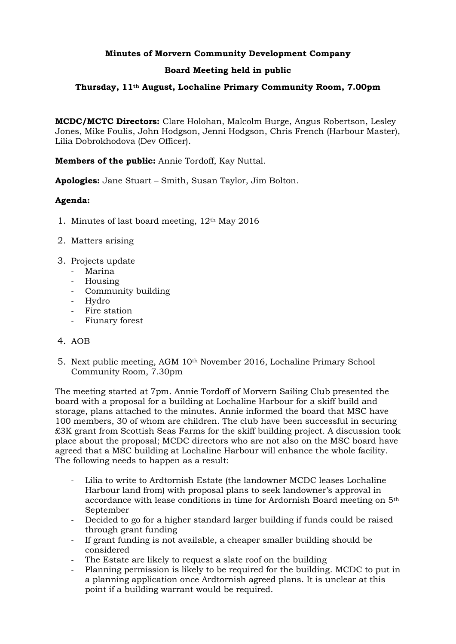## **Minutes of Morvern Community Development Company**

## **Board Meeting held in public**

## **Thursday, 11th August, Lochaline Primary Community Room, 7.00pm**

**MCDC/MCTC Directors:** Clare Holohan, Malcolm Burge, Angus Robertson, Lesley Jones, Mike Foulis, John Hodgson, Jenni Hodgson, Chris French (Harbour Master), Lilia Dobrokhodova (Dev Officer).

**Members of the public:** Annie Tordoff, Kay Nuttal.

**Apologies:** Jane Stuart – Smith, Susan Taylor, Jim Bolton.

## **Agenda:**

- 1. Minutes of last board meeting, 12th May 2016
- 2. Matters arising
- 3. Projects update
	- Marina
	- Housing
	- Community building
	- Hydro
	- Fire station
	- Fiunary forest

#### 4. AOB

5. Next public meeting, AGM 10th November 2016, Lochaline Primary School Community Room, 7.30pm

The meeting started at 7pm. Annie Tordoff of Morvern Sailing Club presented the board with a proposal for a building at Lochaline Harbour for a skiff build and storage, plans attached to the minutes. Annie informed the board that MSC have 100 members, 30 of whom are children. The club have been successful in securing £3K grant from Scottish Seas Farms for the skiff building project. A discussion took place about the proposal; MCDC directors who are not also on the MSC board have agreed that a MSC building at Lochaline Harbour will enhance the whole facility. The following needs to happen as a result:

- Lilia to write to Ardtornish Estate (the landowner MCDC leases Lochaline Harbour land from) with proposal plans to seek landowner's approval in accordance with lease conditions in time for Ardornish Board meeting on 5th September
- Decided to go for a higher standard larger building if funds could be raised through grant funding
- If grant funding is not available, a cheaper smaller building should be considered
- The Estate are likely to request a slate roof on the building
- Planning permission is likely to be required for the building. MCDC to put in a planning application once Ardtornish agreed plans. It is unclear at this point if a building warrant would be required.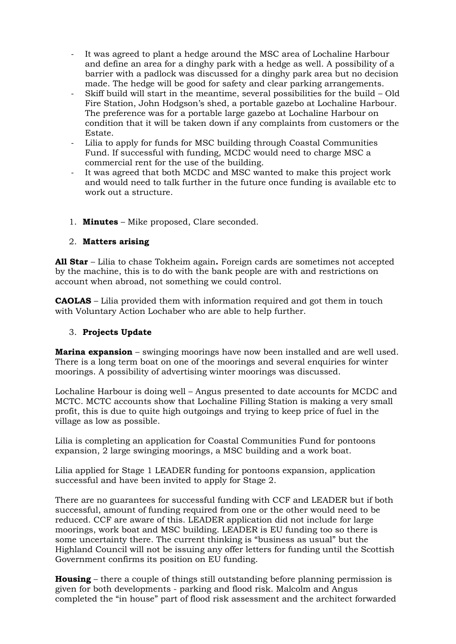- It was agreed to plant a hedge around the MSC area of Lochaline Harbour and define an area for a dinghy park with a hedge as well. A possibility of a barrier with a padlock was discussed for a dinghy park area but no decision made. The hedge will be good for safety and clear parking arrangements.
- Skiff build will start in the meantime, several possibilities for the build Old Fire Station, John Hodgson's shed, a portable gazebo at Lochaline Harbour. The preference was for a portable large gazebo at Lochaline Harbour on condition that it will be taken down if any complaints from customers or the Estate.
- Lilia to apply for funds for MSC building through Coastal Communities Fund. If successful with funding, MCDC would need to charge MSC a commercial rent for the use of the building.
- It was agreed that both MCDC and MSC wanted to make this project work and would need to talk further in the future once funding is available etc to work out a structure.
- 1. **Minutes** Mike proposed, Clare seconded.

## 2. **Matters arising**

**All Star** – Lilia to chase Tokheim again**.** Foreign cards are sometimes not accepted by the machine, this is to do with the bank people are with and restrictions on account when abroad, not something we could control.

**CAOLAS** – Lilia provided them with information required and got them in touch with Voluntary Action Lochaber who are able to help further.

#### 3. **Projects Update**

**Marina expansion** – swinging moorings have now been installed and are well used. There is a long term boat on one of the moorings and several enquiries for winter moorings. A possibility of advertising winter moorings was discussed.

Lochaline Harbour is doing well – Angus presented to date accounts for MCDC and MCTC. MCTC accounts show that Lochaline Filling Station is making a very small profit, this is due to quite high outgoings and trying to keep price of fuel in the village as low as possible.

Lilia is completing an application for Coastal Communities Fund for pontoons expansion, 2 large swinging moorings, a MSC building and a work boat.

Lilia applied for Stage 1 LEADER funding for pontoons expansion, application successful and have been invited to apply for Stage 2.

There are no guarantees for successful funding with CCF and LEADER but if both successful, amount of funding required from one or the other would need to be reduced. CCF are aware of this. LEADER application did not include for large moorings, work boat and MSC building. LEADER is EU funding too so there is some uncertainty there. The current thinking is "business as usual" but the Highland Council will not be issuing any offer letters for funding until the Scottish Government confirms its position on EU funding.

**Housing** – there a couple of things still outstanding before planning permission is given for both developments - parking and flood risk. Malcolm and Angus completed the "in house" part of flood risk assessment and the architect forwarded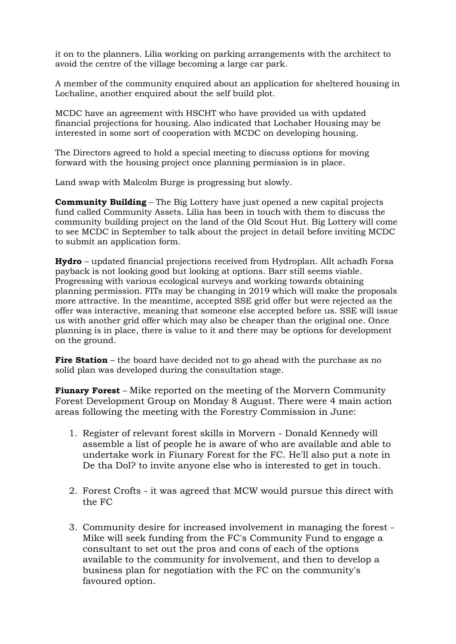it on to the planners. Lilia working on parking arrangements with the architect to avoid the centre of the village becoming a large car park.

A member of the community enquired about an application for sheltered housing in Lochaline, another enquired about the self build plot.

MCDC have an agreement with HSCHT who have provided us with updated financial projections for housing. Also indicated that Lochaber Housing may be interested in some sort of cooperation with MCDC on developing housing.

The Directors agreed to hold a special meeting to discuss options for moving forward with the housing project once planning permission is in place.

Land swap with Malcolm Burge is progressing but slowly.

**Community Building** – The Big Lottery have just opened a new capital projects fund called Community Assets. Lilia has been in touch with them to discuss the community building project on the land of the Old Scout Hut. Big Lottery will come to see MCDC in September to talk about the project in detail before inviting MCDC to submit an application form.

**Hydro** – updated financial projections received from Hydroplan. Allt achadh Forsa payback is not looking good but looking at options. Barr still seems viable. Progressing with various ecological surveys and working towards obtaining planning permission. FITs may be changing in 2019 which will make the proposals more attractive. In the meantime, accepted SSE grid offer but were rejected as the offer was interactive, meaning that someone else accepted before us. SSE will issue us with another grid offer which may also be cheaper than the original one. Once planning is in place, there is value to it and there may be options for development on the ground.

**Fire Station** – the board have decided not to go ahead with the purchase as no solid plan was developed during the consultation stage.

**Fiunary Forest** – Mike reported on the meeting of the Morvern Community Forest Development Group on Monday 8 August. There were 4 main action areas following the meeting with the Forestry Commission in June:

- 1. Register of relevant forest skills in Morvern Donald Kennedy will assemble a list of people he is aware of who are available and able to undertake work in Fiunary Forest for the FC. He'll also put a note in De tha Dol? to invite anyone else who is interested to get in touch.
- 2. Forest Crofts it was agreed that MCW would pursue this direct with the FC
- 3. Community desire for increased involvement in managing the forest Mike will seek funding from the FC's Community Fund to engage a consultant to set out the pros and cons of each of the options available to the community for involvement, and then to develop a business plan for negotiation with the FC on the community's favoured option.